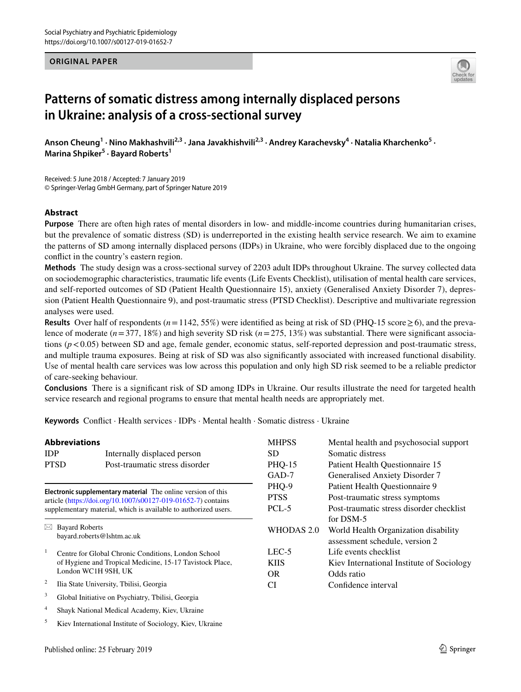## **ORIGINAL PAPER**



# **Patterns of somatic distress among internally displaced persons in Ukraine: analysis of a cross-sectional survey**

Anson Cheung<sup>1</sup> · Nino Makhashvili<sup>2,3</sup> · Jana Javakhishvili<sup>2,3</sup> · Andrey Karachevsky<sup>4</sup> · Natalia Kharchenko<sup>5</sup> · **Marina Shpiker5 · Bayard Roberts1**

Received: 5 June 2018 / Accepted: 7 January 2019 © Springer-Verlag GmbH Germany, part of Springer Nature 2019

## **Abstract**

**Purpose** There are often high rates of mental disorders in low- and middle-income countries during humanitarian crises, but the prevalence of somatic distress (SD) is underreported in the existing health service research. We aim to examine the patterns of SD among internally displaced persons (IDPs) in Ukraine, who were forcibly displaced due to the ongoing conflict in the country's eastern region.

**Methods** The study design was a cross-sectional survey of 2203 adult IDPs throughout Ukraine. The survey collected data on sociodemographic characteristics, traumatic life events (Life Events Checklist), utilisation of mental health care services, and self-reported outcomes of SD (Patient Health Questionnaire 15), anxiety (Generalised Anxiety Disorder 7), depression (Patient Health Questionnaire 9), and post-traumatic stress (PTSD Checklist). Descriptive and multivariate regression analyses were used.

**Results** Over half of respondents  $(n=1142, 55%)$  were identified as being at risk of SD (PHQ-15 score  $\geq$  6), and the prevalence of moderate (*n*=377, 18%) and high severity SD risk (*n*=275, 13%) was substantial. There were significant associations ( $p < 0.05$ ) between SD and age, female gender, economic status, self-reported depression and post-traumatic stress, and multiple trauma exposures. Being at risk of SD was also significantly associated with increased functional disability. Use of mental health care services was low across this population and only high SD risk seemed to be a reliable predictor of care-seeking behaviour.

**Conclusions** There is a significant risk of SD among IDPs in Ukraine. Our results illustrate the need for targeted health service research and regional programs to ensure that mental health needs are appropriately met.

**Keywords** Conflict · Health services · IDPs · Mental health · Somatic distress · Ukraine

|            | <b>Abbreviations</b>                                                | <b>MHPSS</b>  | Mental health and psychosocial support                                                                                    |  |  |
|------------|---------------------------------------------------------------------|---------------|---------------------------------------------------------------------------------------------------------------------------|--|--|
| <b>IDP</b> | Internally displaced person                                         | SD.           | Somatic distress                                                                                                          |  |  |
|            | <b>PTSD</b><br>Post-traumatic stress disorder                       | <b>PHQ-15</b> | Patient Health Questionnaire 15                                                                                           |  |  |
|            |                                                                     | $GAD-7$       | Generalised Anxiety Disorder 7                                                                                            |  |  |
|            | <b>Electronic supplementary material</b> The online version of this | PHQ-9         | Patient Health Questionnaire 9<br>Post-traumatic stress symptoms<br>Post-traumatic stress disorder checklist<br>for DSM-5 |  |  |
|            | article (https://doi.org/10.1007/s00127-019-01652-7) contains       | <b>PTSS</b>   |                                                                                                                           |  |  |
|            | supplementary material, which is available to authorized users.     | PCL-5         |                                                                                                                           |  |  |
|            |                                                                     |               |                                                                                                                           |  |  |
|            | $\boxtimes$ Bayard Roberts<br>bayard.roberts@lshtm.ac.uk            | WHODAS 2.0    | World Health Organization disability<br>assessment schedule, version 2                                                    |  |  |
|            | Centre for Global Chronic Conditions, London School                 | $LEC-5$       | Life events checklist                                                                                                     |  |  |
|            | of Hygiene and Tropical Medicine, 15-17 Tavistock Place,            | KIIS.         | Kiev International Institute of Sociology                                                                                 |  |  |
|            | London WC1H 9SH, UK                                                 | OR.           | Odds ratio                                                                                                                |  |  |
| 2          | Ilia State University, Tbilisi, Georgia                             | CI            | Confidence interval                                                                                                       |  |  |
| 3          | Global Initiative on Psychiatry, Tbilisi, Georgia                   |               |                                                                                                                           |  |  |
| 4          | Shayk National Medical Academy, Kiev, Ukraine                       |               |                                                                                                                           |  |  |

<sup>5</sup> Kiev International Institute of Sociology, Kiev, Ukraine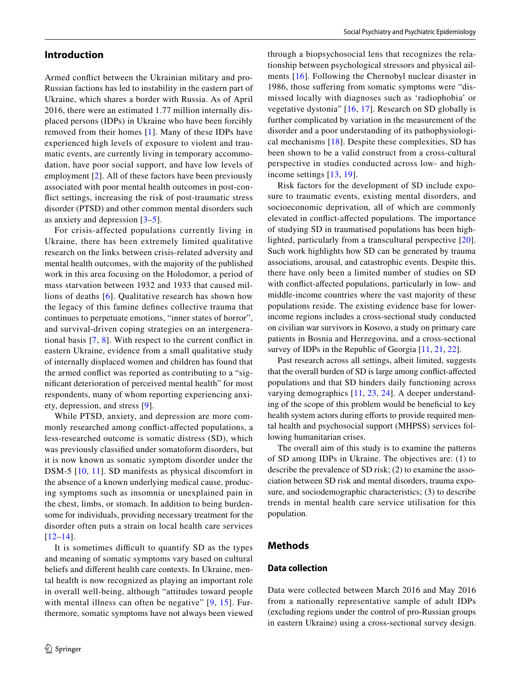Armed conflict between the Ukrainian military and pro-Russian factions has led to instability in the eastern part of Ukraine, which shares a border with Russia. As of April 2016, there were an estimated 1.77 million internally displaced persons (IDPs) in Ukraine who have been forcibly removed from their homes [[1](#page-7-0)]. Many of these IDPs have experienced high levels of exposure to violent and traumatic events, are currently living in temporary accommodation, have poor social support, and have low levels of employment [\[2](#page-7-1)]. All of these factors have been previously associated with poor mental health outcomes in post-conflict settings, increasing the risk of post-traumatic stress disorder (PTSD) and other common mental disorders such as anxiety and depression [[3](#page-7-2)[–5](#page-7-3)].

For crisis-affected populations currently living in Ukraine, there has been extremely limited qualitative research on the links between crisis-related adversity and mental health outcomes, with the majority of the published work in this area focusing on the Holodomor, a period of mass starvation between 1932 and 1933 that caused millions of deaths [[6\]](#page-7-4). Qualitative research has shown how the legacy of this famine defines collective trauma that continues to perpetuate emotions, "inner states of horror", and survival-driven coping strategies on an intergenerational basis [\[7,](#page-7-5) [8](#page-7-6)]. With respect to the current conflict in eastern Ukraine, evidence from a small qualitative study of internally displaced women and children has found that the armed conflict was reported as contributing to a "significant deterioration of perceived mental health" for most respondents, many of whom reporting experiencing anxiety, depression, and stress [\[9](#page-7-7)].

While PTSD, anxiety, and depression are more commonly researched among conflict-affected populations, a less-researched outcome is somatic distress (SD), which was previously classified under somatoform disorders, but it is now known as somatic symptom disorder under the DSM-5 [[10](#page-7-8), [11](#page-7-9)]. SD manifests as physical discomfort in the absence of a known underlying medical cause, producing symptoms such as insomnia or unexplained pain in the chest, limbs, or stomach. In addition to being burdensome for individuals, providing necessary treatment for the disorder often puts a strain on local health care services [[12–](#page-7-10)[14](#page-7-11)].

It is sometimes difficult to quantify SD as the types and meaning of somatic symptoms vary based on cultural beliefs and different health care contexts. In Ukraine, mental health is now recognized as playing an important role in overall well-being, although "attitudes toward people with mental illness can often be negative"  $[9, 15]$  $[9, 15]$  $[9, 15]$  $[9, 15]$ . Furthermore, somatic symptoms have not always been viewed through a biopsychosocial lens that recognizes the relationship between psychological stressors and physical ailments [[16](#page-7-13)]. Following the Chernobyl nuclear disaster in 1986, those suffering from somatic symptoms were "dismissed locally with diagnoses such as 'radiophobia' or vegetative dystonia" [[16](#page-7-13), [17\]](#page-7-14). Research on SD globally is further complicated by variation in the measurement of the disorder and a poor understanding of its pathophysiological mechanisms [\[18\]](#page-8-0). Despite these complexities, SD has been shown to be a valid construct from a cross-cultural perspective in studies conducted across low- and highincome settings [\[13,](#page-7-15) [19](#page-8-1)].

Risk factors for the development of SD include exposure to traumatic events, existing mental disorders, and socioeconomic deprivation, all of which are commonly elevated in conflict-affected populations. The importance of studying SD in traumatised populations has been highlighted, particularly from a transcultural perspective [[20](#page-8-2)]. Such work highlights how SD can be generated by trauma associations, arousal, and catastrophic events. Despite this, there have only been a limited number of studies on SD with conflict-affected populations, particularly in low- and middle-income countries where the vast majority of these populations reside. The existing evidence base for lowerincome regions includes a cross-sectional study conducted on civilian war survivors in Kosovo, a study on primary care patients in Bosnia and Herzegovina, and a cross-sectional survey of IDPs in the Republic of Georgia [[11,](#page-7-9) [21,](#page-8-3) [22](#page-8-4)].

Past research across all settings, albeit limited, suggests that the overall burden of SD is large among conflict-affected populations and that SD hinders daily functioning across varying demographics [[11,](#page-7-9) [23,](#page-8-5) [24](#page-8-6)]. A deeper understanding of the scope of this problem would be beneficial to key health system actors during efforts to provide required mental health and psychosocial support (MHPSS) services following humanitarian crises.

The overall aim of this study is to examine the patterns of SD among IDPs in Ukraine. The objectives are: (1) to describe the prevalence of SD risk; (2) to examine the association between SD risk and mental disorders, trauma exposure, and sociodemographic characteristics; (3) to describe trends in mental health care service utilisation for this population.

## **Methods**

## **Data collection**

Data were collected between March 2016 and May 2016 from a nationally representative sample of adult IDPs (excluding regions under the control of pro-Russian groups in eastern Ukraine) using a cross-sectional survey design.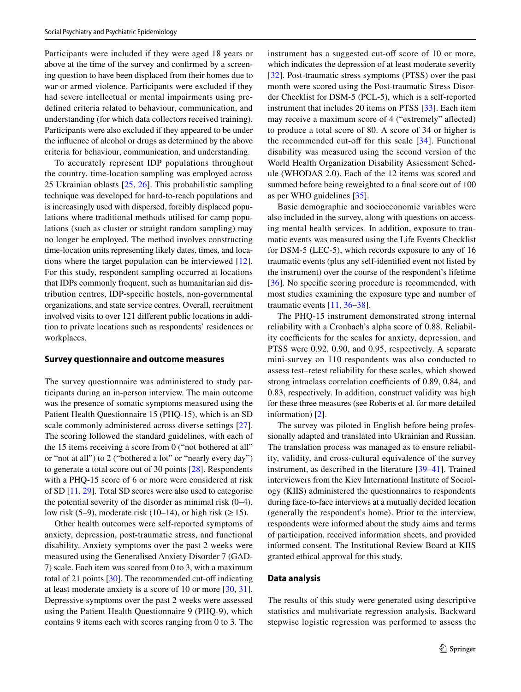Participants were included if they were aged 18 years or above at the time of the survey and confirmed by a screening question to have been displaced from their homes due to war or armed violence. Participants were excluded if they had severe intellectual or mental impairments using predefined criteria related to behaviour, communication, and understanding (for which data collectors received training). Participants were also excluded if they appeared to be under the influence of alcohol or drugs as determined by the above criteria for behaviour, communication, and understanding.

To accurately represent IDP populations throughout the country, time-location sampling was employed across 25 Ukrainian oblasts [\[25](#page-8-7), [26](#page-8-8)]. This probabilistic sampling technique was developed for hard-to-reach populations and is increasingly used with dispersed, forcibly displaced populations where traditional methods utilised for camp populations (such as cluster or straight random sampling) may no longer be employed. The method involves constructing time-location units representing likely dates, times, and locations where the target population can be interviewed [[12](#page-7-10)]. For this study, respondent sampling occurred at locations that IDPs commonly frequent, such as humanitarian aid distribution centres, IDP-specific hostels, non-governmental organizations, and state service centres. Overall, recruitment involved visits to over 121 different public locations in addition to private locations such as respondents' residences or workplaces.

## **Survey questionnaire and outcome measures**

The survey questionnaire was administered to study participants during an in-person interview. The main outcome was the presence of somatic symptoms measured using the Patient Health Questionnaire 15 (PHQ-15), which is an SD scale commonly administered across diverse settings [\[27](#page-8-9)]. The scoring followed the standard guidelines, with each of the 15 items receiving a score from 0 ("not bothered at all" or "not at all") to 2 ("bothered a lot" or "nearly every day") to generate a total score out of 30 points [\[28](#page-8-10)]. Respondents with a PHQ-15 score of 6 or more were considered at risk of SD [[11,](#page-7-9) [29\]](#page-8-11). Total SD scores were also used to categorise the potential severity of the disorder as minimal risk  $(0-4)$ , low risk (5–9), moderate risk (10–14), or high risk ( $\geq$  15).

Other health outcomes were self-reported symptoms of anxiety, depression, post-traumatic stress, and functional disability. Anxiety symptoms over the past 2 weeks were measured using the Generalised Anxiety Disorder 7 (GAD-7) scale. Each item was scored from 0 to 3, with a maximum total of 21 points [\[30\]](#page-8-12). The recommended cut-off indicating at least moderate anxiety is a score of 10 or more [[30,](#page-8-12) [31](#page-8-13)]. Depressive symptoms over the past 2 weeks were assessed using the Patient Health Questionnaire 9 (PHQ-9), which contains 9 items each with scores ranging from 0 to 3. The instrument has a suggested cut-off score of 10 or more, which indicates the depression of at least moderate severity [[32\]](#page-8-14). Post-traumatic stress symptoms (PTSS) over the past month were scored using the Post-traumatic Stress Disorder Checklist for DSM-5 (PCL-5), which is a self-reported instrument that includes 20 items on PTSS [\[33](#page-8-15)]. Each item may receive a maximum score of 4 ("extremely" affected) to produce a total score of 80. A score of 34 or higher is the recommended cut-off for this scale [\[34\]](#page-8-16). Functional disability was measured using the second version of the World Health Organization Disability Assessment Schedule (WHODAS 2.0). Each of the 12 items was scored and summed before being reweighted to a final score out of 100 as per WHO guidelines [\[35](#page-8-17)].

Basic demographic and socioeconomic variables were also included in the survey, along with questions on accessing mental health services. In addition, exposure to traumatic events was measured using the Life Events Checklist for DSM-5 (LEC-5), which records exposure to any of 16 traumatic events (plus any self-identified event not listed by the instrument) over the course of the respondent's lifetime [[36\]](#page-8-18). No specific scoring procedure is recommended, with most studies examining the exposure type and number of traumatic events [[11](#page-7-9), [36](#page-8-18)[–38](#page-8-19)].

The PHQ-15 instrument demonstrated strong internal reliability with a Cronbach's alpha score of 0.88. Reliability coefficients for the scales for anxiety, depression, and PTSS were 0.92, 0.90, and 0.95, respectively. A separate mini-survey on 110 respondents was also conducted to assess test–retest reliability for these scales, which showed strong intraclass correlation coefficients of 0.89, 0.84, and 0.83, respectively. In addition, construct validity was high for these three measures (see Roberts et al. for more detailed information) [[2](#page-7-1)].

The survey was piloted in English before being professionally adapted and translated into Ukrainian and Russian. The translation process was managed as to ensure reliability, validity, and cross-cultural equivalence of the survey instrument, as described in the literature [[39–](#page-8-20)[41\]](#page-8-21). Trained interviewers from the Kiev International Institute of Sociology (KIIS) administered the questionnaires to respondents during face-to-face interviews at a mutually decided location (generally the respondent's home). Prior to the interview, respondents were informed about the study aims and terms of participation, received information sheets, and provided informed consent. The Institutional Review Board at KIIS granted ethical approval for this study.

## **Data analysis**

The results of this study were generated using descriptive statistics and multivariate regression analysis. Backward stepwise logistic regression was performed to assess the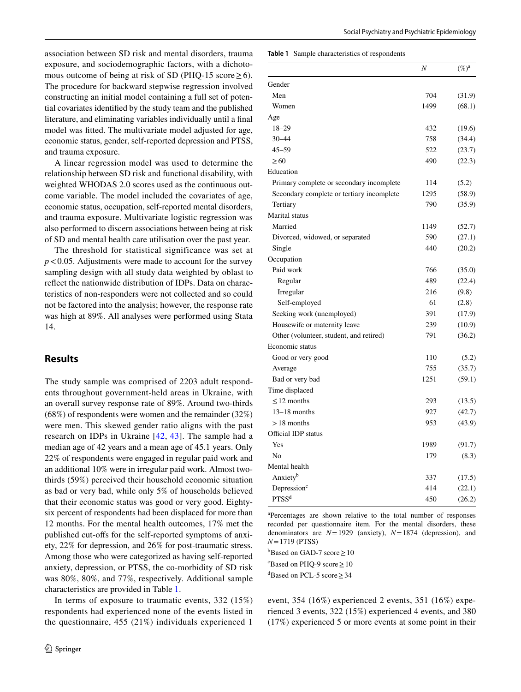association between SD risk and mental disorders, trauma exposure, and sociodemographic factors, with a dichotomous outcome of being at risk of SD (PHQ-15 score  $\geq$  6). The procedure for backward stepwise regression involved constructing an initial model containing a full set of potential covariates identified by the study team and the published literature, and eliminating variables individually until a final model was fitted. The multivariate model adjusted for age, economic status, gender, self-reported depression and PTSS, and trauma exposure.

A linear regression model was used to determine the relationship between SD risk and functional disability, with weighted WHODAS 2.0 scores used as the continuous outcome variable. The model included the covariates of age, economic status, occupation, self-reported mental disorders, and trauma exposure. Multivariate logistic regression was also performed to discern associations between being at risk of SD and mental health care utilisation over the past year.

The threshold for statistical significance was set at *p*<0.05. Adjustments were made to account for the survey sampling design with all study data weighted by oblast to reflect the nationwide distribution of IDPs. Data on characteristics of non-responders were not collected and so could not be factored into the analysis; however, the response rate was high at 89%. All analyses were performed using Stata 14.

## **Results**

The study sample was comprised of 2203 adult respondents throughout government-held areas in Ukraine, with an overall survey response rate of 89%. Around two-thirds (68%) of respondents were women and the remainder (32%) were men. This skewed gender ratio aligns with the past research on IDPs in Ukraine [\[42,](#page-8-22) [43\]](#page-8-23). The sample had a median age of 42 years and a mean age of 45.1 years. Only 22% of respondents were engaged in regular paid work and an additional 10% were in irregular paid work. Almost twothirds (59%) perceived their household economic situation as bad or very bad, while only 5% of households believed that their economic status was good or very good. Eightysix percent of respondents had been displaced for more than 12 months. For the mental health outcomes, 17% met the published cut-offs for the self-reported symptoms of anxiety, 22% for depression, and 26% for post-traumatic stress. Among those who were categorized as having self-reported anxiety, depression, or PTSS, the co-morbidity of SD risk was 80%, 80%, and 77%, respectively. Additional sample characteristics are provided in Table [1.](#page-3-0)

In terms of exposure to traumatic events, 332 (15%) respondents had experienced none of the events listed in the questionnaire, 455 (21%) individuals experienced 1

#### <span id="page-3-0"></span>**Table 1** Sample characteristics of respondents

|                                           | Ν    | $(\%)^{\mathrm{a}}$ |
|-------------------------------------------|------|---------------------|
| Gender                                    |      |                     |
| Men                                       | 704  | (31.9)              |
| Women                                     | 1499 | (68.1)              |
| Age                                       |      |                     |
| 18-29                                     | 432  | (19.6)              |
| $30 - 44$                                 | 758  | (34.4)              |
| $45 - 59$                                 | 522  | (23.7)              |
| $\geq 60$                                 | 490  | (22.3)              |
| Education                                 |      |                     |
| Primary complete or secondary incomplete  | 114  | (5.2)               |
| Secondary complete or tertiary incomplete | 1295 | (58.9)              |
| Tertiary                                  | 790  | (35.9)              |
| <b>Marital</b> status                     |      |                     |
| Married                                   | 1149 | (52.7)              |
| Divorced, widowed, or separated           | 590  | (27.1)              |
| Single                                    | 440  | (20.2)              |
| Occupation                                |      |                     |
| Paid work                                 | 766  | (35.0)              |
| Regular                                   | 489  | (22.4)              |
| Irregular                                 | 216  | (9.8)               |
| Self-employed                             | 61   | (2.8)               |
| Seeking work (unemployed)                 | 391  | (17.9)              |
| Housewife or maternity leave              | 239  | (10.9)              |
| Other (volunteer, student, and retired)   | 791  | (36.2)              |
| Economic status                           |      |                     |
| Good or very good                         | 110  | (5.2)               |
| Average                                   | 755  | (35.7)              |
| Bad or very bad                           | 1251 | (59.1)              |
| Time displaced                            |      |                     |
| $\leq$ 12 months                          | 293  | (13.5)              |
| $13-18$ months                            | 927  | (42.7)              |
| $>18$ months                              | 953  | (43.9)              |
| Official IDP status                       |      |                     |
| Yes                                       | 1989 | (91.7)              |
| No                                        | 179  | (8.3)               |
| Mental health                             |      |                     |
| Anxiety <sup>b</sup>                      | 337  | (17.5)              |
| Depression <sup>c</sup>                   | 414  | (22.1)              |
| PTSS <sup>d</sup>                         | 450  | (26.2)              |

a Percentages are shown relative to the total number of responses recorded per questionnaire item. For the mental disorders, these denominators are *N*=1929 (anxiety), *N*=1874 (depression), and *N*=1719 (PTSS)

 $b$ Based on GAD-7 score  $\geq 10$ 

 $c^{\circ}$ Based on PHQ-9 score  $\geq 10$ 

 $\text{d}$ Based on PCL-5 score  $\geq$  34

event, 354 (16%) experienced 2 events, 351 (16%) experienced 3 events, 322 (15%) experienced 4 events, and 380 (17%) experienced 5 or more events at some point in their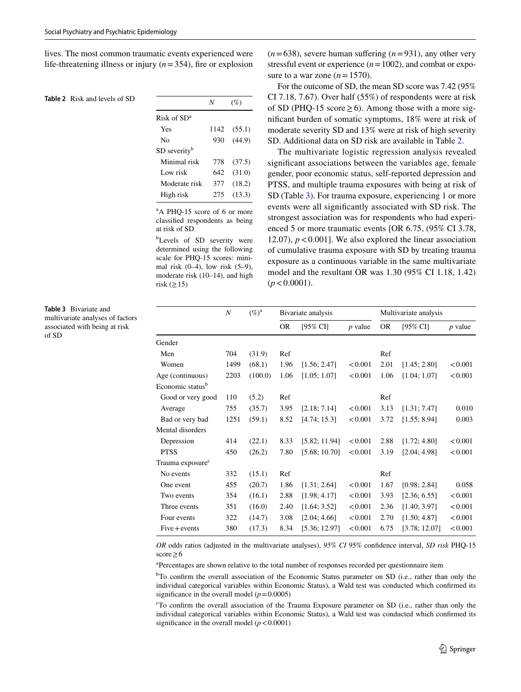lives. The most common traumatic events experienced were life-threatening illness or injury (*n*=354), fire or explosion

## <span id="page-4-0"></span>**Table 2** Risk and levels of SD

|                          | N    | $(\%)$ |
|--------------------------|------|--------|
| Risk of $SDa$            |      |        |
| Yes                      | 1142 | (55.1) |
| Nο                       | 930  | (44.9) |
| SD severity <sup>b</sup> |      |        |
| Minimal risk             | 778  | (37.5) |
| Low risk                 | 642. | (31.0) |
| Moderate risk            | 377  | (18.2) |
| High risk                | 275  | (13.3) |

<sup>a</sup>A PHQ-15 score of 6 or more classified respondents as being at risk of SD

b Levels of SD severity were determined using the following scale for PHQ-15 scores: minimal risk  $(0-4)$ , low risk  $(5-9)$ , moderate risk (10–14), and high risk  $(≥15)$ 

 $(n=638)$ , severe human suffering  $(n=931)$ , any other very stressful event or experience (*n*=1002), and combat or exposure to a war zone  $(n=1570)$ .

For the outcome of SD, the mean SD score was 7.42 (95% CI 7.18, 7.67). Over half (55%) of respondents were at risk of SD (PHQ-15 score  $\geq$  6). Among those with a more significant burden of somatic symptoms, 18% were at risk of moderate severity SD and 13% were at risk of high severity SD. Additional data on SD risk are available in Table [2](#page-4-0).

The multivariate logistic regression analysis revealed significant associations between the variables age, female gender, poor economic status, self-reported depression and PTSS, and multiple trauma exposures with being at risk of SD (Table [3\)](#page-4-1). For trauma exposure, experiencing 1 or more events were all significantly associated with SD risk. The strongest association was for respondents who had experienced 5 or more traumatic events [OR 6.75, (95% CI 3.78, 12.07),  $p < 0.001$ . We also explored the linear association of cumulative trauma exposure with SD by treating trauma exposure as a continuous variable in the same multivariate model and the resultant OR was 1.30 (95% CI 1.18, 1.42)  $(p < 0.0001)$ .

<span id="page-4-1"></span>**Table 3** Bivariate and multivariate analyses of factors associated with being at risk of SD

|                              | $\boldsymbol{N}$ | $(\%)^{\mathrm{a}}$ | Bivariate analysis |               |           | Multivariate analysis |               |           |
|------------------------------|------------------|---------------------|--------------------|---------------|-----------|-----------------------|---------------|-----------|
|                              |                  |                     | <b>OR</b>          | [95% CI]      | $p$ value | <b>OR</b>             | [95% CI]      | $p$ value |
| Gender                       |                  |                     |                    |               |           |                       |               |           |
| Men                          | 704              | (31.9)              | Ref                |               |           | Ref                   |               |           |
| Women                        | 1499             | (68.1)              | 1.96               | [1.56; 2.47]  | < 0.001   | 2.01                  | [1.45; 2.80]  | < 0.001   |
| Age (continuous)             | 2203             | (100.0)             | 1.06               | [1.05; 1.07]  | < 0.001   | 1.06                  | [1.04; 1.07]  | < 0.001   |
| Economic status <sup>b</sup> |                  |                     |                    |               |           |                       |               |           |
| Good or very good            | 110              | (5.2)               | Ref                |               |           | Ref                   |               |           |
| Average                      | 755              | (35.7)              | 3.95               | [2.18; 7.14]  | < 0.001   | 3.13                  | [1.31; 7.47]  | 0.010     |
| Bad or very bad              | 1251             | (59.1)              | 8.52               | [4.74; 15.3]  | < 0.001   | 3.72                  | [1.55; 8.94]  | 0.003     |
| Mental disorders             |                  |                     |                    |               |           |                       |               |           |
| Depression                   | 414              | (22.1)              | 8.33               | [5.82; 11.94] | < 0.001   | 2.88                  | [1.72; 4.80]  | < 0.001   |
| <b>PTSS</b>                  | 450              | (26.2)              | 7.80               | [5.68; 10.70] | < 0.001   | 3.19                  | [2.04; 4.98]  | < 0.001   |
| Trauma exposure <sup>c</sup> |                  |                     |                    |               |           |                       |               |           |
| No events                    | 332              | (15.1)              | Ref                |               |           | Ref                   |               |           |
| One event                    | 455              | (20.7)              | 1.86               | [1.31; 2.64]  | < 0.001   | 1.67                  | [0.98; 2.84]  | 0.058     |
| Two events                   | 354              | (16.1)              | 2.88               | [1.98; 4.17]  | < 0.001   | 3.93                  | [2.36; 6.55]  | < 0.001   |
| Three events                 | 351              | (16.0)              | 2.40               | [1.64; 3.52]  | < 0.001   | 2.36                  | [1.40; 3.97]  | < 0.001   |
| Four events                  | 322              | (14.7)              | 3.08               | [2.04; 4.66]  | < 0.001   | 2.70                  | [1.50; 4.87]  | < 0.001   |
| $Five + events$              | 380              | (17.3)              | 8.34               | [5.36; 12.97] | < 0.001   | 6.75                  | [3.78; 12.07] | < 0.001   |

*OR* odds ratios (adjusted in the multivariate analyses), *95% CI* 95% confidence interval, *SD risk* PHQ-15 score≥6

<sup>a</sup>Percentages are shown relative to the total number of responses recorded per questionnaire item

<sup>b</sup>To confirm the overall association of the Economic Status parameter on SD (i.e., rather than only the individual categorical variables within Economic Status), a Wald test was conducted which confirmed its significance in the overall model  $(p=0.0005)$ 

c To confirm the overall association of the Trauma Exposure parameter on SD (i.e., rather than only the individual categorical variables within Economic Status), a Wald test was conducted which confirmed its significance in the overall model  $(p < 0.0001)$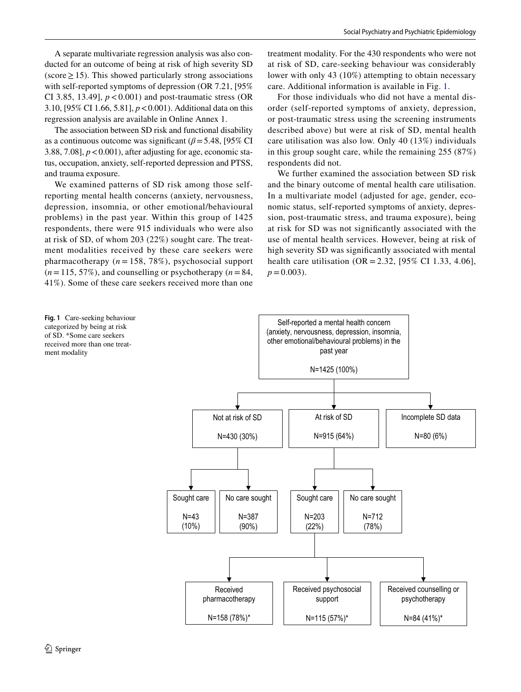A separate multivariate regression analysis was also conducted for an outcome of being at risk of high severity SD  $(\text{score} \geq 15)$ . This showed particularly strong associations with self-reported symptoms of depression (OR 7.21, [95%] CI 3.85, 13.49],  $p < 0.001$ ) and post-traumatic stress (OR 3.10, [95% CI 1.66, 5.81], *p*<0.001). Additional data on this regression analysis are available in Online Annex 1.

The association between SD risk and functional disability as a continuous outcome was significant ( $\beta$ =5.48, [95% CI 3.88, 7.08],  $p < 0.001$ ), after adjusting for age, economic status, occupation, anxiety, self-reported depression and PTSS, and trauma exposure.

We examined patterns of SD risk among those selfreporting mental health concerns (anxiety, nervousness, depression, insomnia, or other emotional/behavioural problems) in the past year. Within this group of 1425 respondents, there were 915 individuals who were also at risk of SD, of whom 203 (22%) sought care. The treatment modalities received by these care seekers were pharmacotherapy  $(n = 158, 78\%)$ , psychosocial support  $(n=115, 57\%)$ , and counselling or psychotherapy  $(n=84, 64)$ 41%). Some of these care seekers received more than one

treatment modality. For the 430 respondents who were not at risk of SD, care-seeking behaviour was considerably lower with only 43 (10%) attempting to obtain necessary care. Additional information is available in Fig. [1](#page-5-0).

For those individuals who did not have a mental disorder (self-reported symptoms of anxiety, depression, or post-traumatic stress using the screening instruments described above) but were at risk of SD, mental health care utilisation was also low. Only 40 (13%) individuals in this group sought care, while the remaining 255 (87%) respondents did not.

We further examined the association between SD risk and the binary outcome of mental health care utilisation. In a multivariate model (adjusted for age, gender, economic status, self-reported symptoms of anxiety, depression, post-traumatic stress, and trauma exposure), being at risk for SD was not significantly associated with the use of mental health services. However, being at risk of high severity SD was significantly associated with mental health care utilisation (OR = 2.32, [95% CI 1.33, 4.06],  $p = 0.003$ ).

<span id="page-5-0"></span>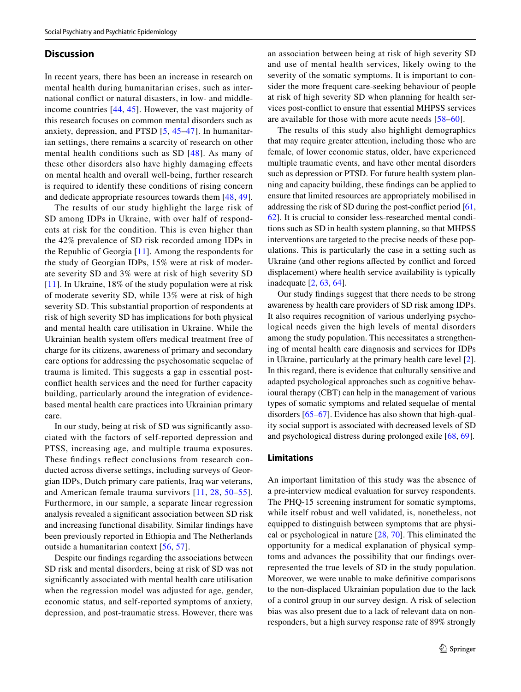## **Discussion**

In recent years, there has been an increase in research on mental health during humanitarian crises, such as international conflict or natural disasters, in low- and middleincome countries [\[44,](#page-8-24) [45\]](#page-8-25). However, the vast majority of this research focuses on common mental disorders such as anxiety, depression, and PTSD [\[5,](#page-7-3) [45](#page-8-25)–[47](#page-8-26)]. In humanitarian settings, there remains a scarcity of research on other mental health conditions such as SD [[48\]](#page-8-27). As many of these other disorders also have highly damaging effects on mental health and overall well-being, further research is required to identify these conditions of rising concern and dedicate appropriate resources towards them [[48,](#page-8-27) [49](#page-8-28)].

The results of our study highlight the large risk of SD among IDPs in Ukraine, with over half of respondents at risk for the condition. This is even higher than the 42% prevalence of SD risk recorded among IDPs in the Republic of Georgia [[11](#page-7-9)]. Among the respondents for the study of Georgian IDPs, 15% were at risk of moderate severity SD and 3% were at risk of high severity SD [[11\]](#page-7-9). In Ukraine, 18% of the study population were at risk of moderate severity SD, while 13% were at risk of high severity SD. This substantial proportion of respondents at risk of high severity SD has implications for both physical and mental health care utilisation in Ukraine. While the Ukrainian health system offers medical treatment free of charge for its citizens, awareness of primary and secondary care options for addressing the psychosomatic sequelae of trauma is limited. This suggests a gap in essential postconflict health services and the need for further capacity building, particularly around the integration of evidencebased mental health care practices into Ukrainian primary care.

In our study, being at risk of SD was significantly associated with the factors of self-reported depression and PTSS, increasing age, and multiple trauma exposures. These findings reflect conclusions from research conducted across diverse settings, including surveys of Georgian IDPs, Dutch primary care patients, Iraq war veterans, and American female trauma survivors [[11,](#page-7-9) [28,](#page-8-10) [50](#page-8-29)–[55](#page-9-0)]. Furthermore, in our sample, a separate linear regression analysis revealed a significant association between SD risk and increasing functional disability. Similar findings have been previously reported in Ethiopia and The Netherlands outside a humanitarian context [[56,](#page-9-1) [57\]](#page-9-2).

Despite our findings regarding the associations between SD risk and mental disorders, being at risk of SD was not significantly associated with mental health care utilisation when the regression model was adjusted for age, gender, economic status, and self-reported symptoms of anxiety, depression, and post-traumatic stress. However, there was

an association between being at risk of high severity SD and use of mental health services, likely owing to the severity of the somatic symptoms. It is important to consider the more frequent care-seeking behaviour of people at risk of high severity SD when planning for health services post-conflict to ensure that essential MHPSS services are available for those with more acute needs [[58](#page-9-3)–[60\]](#page-9-4).

The results of this study also highlight demographics that may require greater attention, including those who are female, of lower economic status, older, have experienced multiple traumatic events, and have other mental disorders such as depression or PTSD. For future health system planning and capacity building, these findings can be applied to ensure that limited resources are appropriately mobilised in addressing the risk of SD during the post-conflict period [[61,](#page-9-5) [62](#page-9-6)]. It is crucial to consider less-researched mental conditions such as SD in health system planning, so that MHPSS interventions are targeted to the precise needs of these populations. This is particularly the case in a setting such as Ukraine (and other regions affected by conflict and forced displacement) where health service availability is typically inadequate [[2,](#page-7-1) [63,](#page-9-7) [64\]](#page-9-8).

Our study findings suggest that there needs to be strong awareness by health care providers of SD risk among IDPs. It also requires recognition of various underlying psychological needs given the high levels of mental disorders among the study population. This necessitates a strengthening of mental health care diagnosis and services for IDPs in Ukraine, particularly at the primary health care level [\[2](#page-7-1)]. In this regard, there is evidence that culturally sensitive and adapted psychological approaches such as cognitive behavioural therapy (CBT) can help in the management of various types of somatic symptoms and related sequelae of mental disorders [[65–](#page-9-9)[67](#page-9-10)]. Evidence has also shown that high-quality social support is associated with decreased levels of SD and psychological distress during prolonged exile [[68,](#page-9-11) [69\]](#page-9-12).

## **Limitations**

An important limitation of this study was the absence of a pre-interview medical evaluation for survey respondents. The PHQ-15 screening instrument for somatic symptoms, while itself robust and well validated, is, nonetheless, not equipped to distinguish between symptoms that are physical or psychological in nature [[28](#page-8-10), [70](#page-9-13)]. This eliminated the opportunity for a medical explanation of physical symptoms and advances the possibility that our findings overrepresented the true levels of SD in the study population. Moreover, we were unable to make definitive comparisons to the non-displaced Ukrainian population due to the lack of a control group in our survey design. A risk of selection bias was also present due to a lack of relevant data on nonresponders, but a high survey response rate of 89% strongly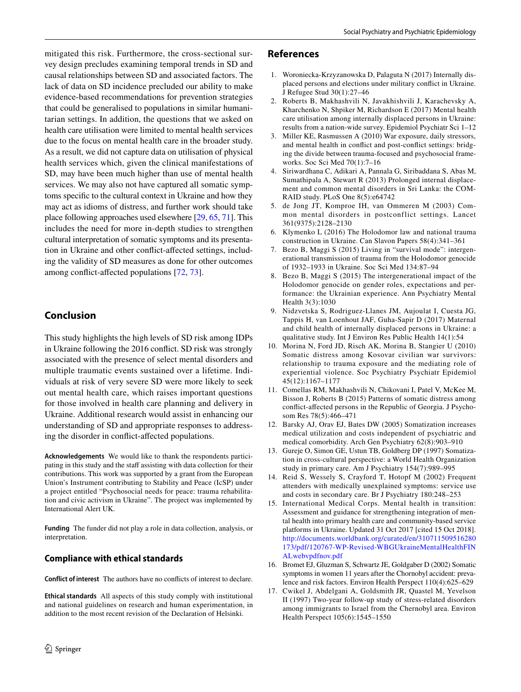mitigated this risk. Furthermore, the cross-sectional survey design precludes examining temporal trends in SD and causal relationships between SD and associated factors. The lack of data on SD incidence precluded our ability to make evidence-based recommendations for prevention strategies that could be generalised to populations in similar humanitarian settings. In addition, the questions that we asked on health care utilisation were limited to mental health services due to the focus on mental health care in the broader study. As a result, we did not capture data on utilisation of physical health services which, given the clinical manifestations of SD, may have been much higher than use of mental health services. We may also not have captured all somatic symptoms specific to the cultural context in Ukraine and how they may act as idioms of distress, and further work should take place following approaches used elsewhere [[29,](#page-8-11) [65](#page-9-9), [71\]](#page-9-14). This includes the need for more in-depth studies to strengthen cultural interpretation of somatic symptoms and its presentation in Ukraine and other conflict-affected settings, including the validity of SD measures as done for other outcomes among conflict-affected populations [[72](#page-9-15), [73](#page-9-16)].

## **Conclusion**

This study highlights the high levels of SD risk among IDPs in Ukraine following the 2016 conflict. SD risk was strongly associated with the presence of select mental disorders and multiple traumatic events sustained over a lifetime. Individuals at risk of very severe SD were more likely to seek out mental health care, which raises important questions for those involved in health care planning and delivery in Ukraine. Additional research would assist in enhancing our understanding of SD and appropriate responses to addressing the disorder in conflict-affected populations.

**Acknowledgements** We would like to thank the respondents participating in this study and the staff assisting with data collection for their contributions. This work was supported by a grant from the European Union's Instrument contributing to Stability and Peace (IcSP) under a project entitled "Psychosocial needs for peace: trauma rehabilitation and civic activism in Ukraine". The project was implemented by International Alert UK.

**Funding** The funder did not play a role in data collection, analysis, or interpretation.

## **Compliance with ethical standards**

**Conflict of interest** The authors have no conflicts of interest to declare.

**Ethical standards** All aspects of this study comply with institutional and national guidelines on research and human experimentation, in addition to the most recent revision of the Declaration of Helsinki.

## **References**

- <span id="page-7-0"></span>1. Woroniecka-Krzyzanowska D, Palaguta N (2017) Internally displaced persons and elections under military conflict in Ukraine. J Refugee Stud 30(1):27–46
- <span id="page-7-1"></span>2. Roberts B, Makhashvili N, Javakhishvili J, Karachevsky A, Kharchenko N, Shpiker M, Richardson E (2017) Mental health care utilisation among internally displaced persons in Ukraine: results from a nation-wide survey. Epidemiol Psychiatr Sci 1–12
- <span id="page-7-2"></span>3. Miller KE, Rasmussen A (2010) War exposure, daily stressors, and mental health in conflict and post-conflict settings: bridging the divide between trauma-focused and psychosocial frameworks. Soc Sci Med 70(1):7–16
- 4. Siriwardhana C, Adikari A, Pannala G, Siribaddana S, Abas M, Sumathipala A, Stewart R (2013) Prolonged internal displacement and common mental disorders in Sri Lanka: the COM-RAID study. PLoS One 8(5):e64742
- <span id="page-7-3"></span>5. de Jong JT, Komproe IH, van Ommeren M (2003) Common mental disorders in postconflict settings. Lancet 361(9375):2128–2130
- <span id="page-7-4"></span>6. Klymenko L (2016) The Holodomor law and national trauma construction in Ukraine. Can Slavon Papers 58(4):341–361
- <span id="page-7-5"></span>7. Bezo B, Maggi S (2015) Living in "survival mode": intergenerational transmission of trauma from the Holodomor genocide of 1932–1933 in Ukraine. Soc Sci Med 134:87–94
- <span id="page-7-6"></span>8. Bezo B, Maggi S (2015) The intergenerational impact of the Holodomor genocide on gender roles, expectations and performance: the Ukrainian experience. Ann Psychiatry Mental Health 3(3):1030
- <span id="page-7-7"></span>9. Nidzvetska S, Rodriguez-Llanes JM, Aujoulat I, Cuesta JG, Tappis H, van Loenhout JAF, Guha-Sapir D (2017) Maternal and child health of internally displaced persons in Ukraine: a qualitative study. Int J Environ Res Public Health 14(1):54
- <span id="page-7-8"></span>10. Morina N, Ford JD, Risch AK, Morina B, Stangier U (2010) Somatic distress among Kosovar civilian war survivors: relationship to trauma exposure and the mediating role of experiential violence. Soc Psychiatry Psychiatr Epidemiol 45(12):1167–1177
- <span id="page-7-9"></span>11. Comellas RM, Makhashvili N, Chikovani I, Patel V, McKee M, Bisson J, Roberts B (2015) Patterns of somatic distress among conflict-affected persons in the Republic of Georgia. J Psychosom Res 78(5):466–471
- <span id="page-7-10"></span>12. Barsky AJ, Orav EJ, Bates DW (2005) Somatization increases medical utilization and costs independent of psychiatric and medical comorbidity. Arch Gen Psychiatry 62(8):903–910
- <span id="page-7-15"></span>13. Gureje O, Simon GE, Ustun TB, Goldberg DP (1997) Somatization in cross-cultural perspective: a World Health Organization study in primary care. Am J Psychiatry 154(7):989–995
- <span id="page-7-11"></span>14. Reid S, Wessely S, Crayford T, Hotopf M (2002) Frequent attenders with medically unexplained symptoms: service use and costs in secondary care. Br J Psychiatry 180:248–253
- <span id="page-7-12"></span>15. International Medical Corps. Mental health in transition: Assessment and guidance for strengthening integration of mental health into primary health care and community-based service platforms in Ukraine. Updated 31 Oct 2017 [cited 15 Oct 2018]. [http://documents.worldbank.org/curated/en/310711509516280](http://documents.worldbank.org/curated/en/310711509516280173/pdf/120767-WP-Revised-WBGUkraineMentalHealthFINALwebvpdfnov.pdf) [173/pdf/120767-WP-Revised-WBGUkraineMentalHealthFIN](http://documents.worldbank.org/curated/en/310711509516280173/pdf/120767-WP-Revised-WBGUkraineMentalHealthFINALwebvpdfnov.pdf) [ALwebvpdfnov.pdf](http://documents.worldbank.org/curated/en/310711509516280173/pdf/120767-WP-Revised-WBGUkraineMentalHealthFINALwebvpdfnov.pdf)
- <span id="page-7-13"></span>16. Bromet EJ, Gluzman S, Schwartz JE, Goldgaber D (2002) Somatic symptoms in women 11 years after the Chornobyl accident: prevalence and risk factors. Environ Health Perspect 110(4):625–629
- <span id="page-7-14"></span>17. Cwikel J, Abdelgani A, Goldsmith JR, Quastel M, Yevelson II (1997) Two-year follow-up study of stress-related disorders among immigrants to Israel from the Chernobyl area. Environ Health Perspect 105(6):1545–1550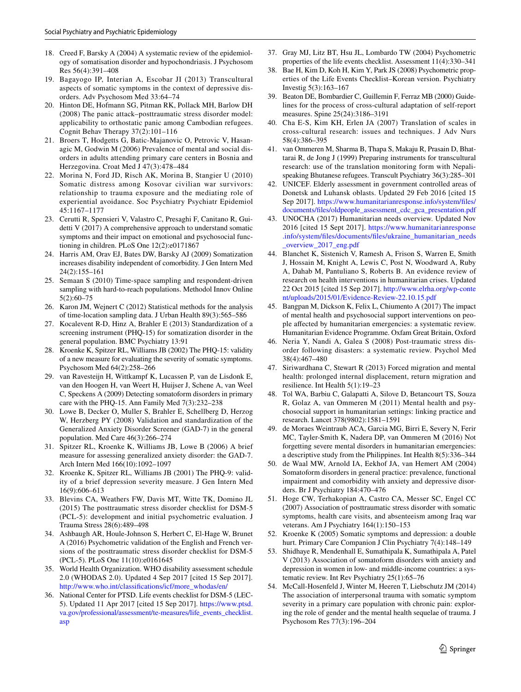- <span id="page-8-0"></span>18. Creed F, Barsky A (2004) A systematic review of the epidemiology of somatisation disorder and hypochondriasis. J Psychosom Res 56(4):391–408
- <span id="page-8-1"></span>19. Bagayogo IP, Interian A, Escobar JI (2013) Transcultural aspects of somatic symptoms in the context of depressive disorders. Adv Psychosom Med 33:64–74
- <span id="page-8-2"></span>20. Hinton DE, Hofmann SG, Pitman RK, Pollack MH, Barlow DH (2008) The panic attack–posttraumatic stress disorder model: applicability to orthostatic panic among Cambodian refugees. Cognit Behav Therapy 37(2):101–116
- <span id="page-8-3"></span>21. Broers T, Hodgetts G, Batic-Majanovic O, Petrovic V, Hasanagic M, Godwin M (2006) Prevalence of mental and social disorders in adults attending primary care centers in Bosnia and Herzegovina. Croat Med J 47(3):478–484
- <span id="page-8-4"></span>22. Morina N, Ford JD, Risch AK, Morina B, Stangier U (2010) Somatic distress among Kosovar civilian war survivors: relationship to trauma exposure and the mediating role of experiential avoidance. Soc Psychiatry Psychiatr Epidemiol 45:1167–1177
- <span id="page-8-5"></span>23. Cerutti R, Spensieri V, Valastro C, Presaghi F, Canitano R, Guidetti V (2017) A comprehensive approach to understand somatic symptoms and their impact on emotional and psychosocial functioning in children. PLoS One 12(2):e0171867
- <span id="page-8-6"></span>24. Harris AM, Orav EJ, Bates DW, Barsky AJ (2009) Somatization increases disability independent of comorbidity. J Gen Intern Med 24(2):155–161
- <span id="page-8-7"></span>25. Semaan S (2010) Time-space sampling and respondent-driven sampling with hard-to-reach populations. Methodol Innov Online 5(2):60–75
- <span id="page-8-8"></span>26. Karon JM, Wejnert C (2012) Statistical methods for the analysis of time-location sampling data. J Urban Health 89(3):565–586
- <span id="page-8-9"></span>27. Kocalevent R-D, Hinz A, Brahler E (2013) Standardization of a screening instrument (PHQ-15) for somatization disorder in the general population. BMC Psychiatry 13:91
- <span id="page-8-10"></span>28. Kroenke K, Spitzer RL, Williams JB (2002) The PHQ-15: validity of a new measure for evaluating the severity of somatic symptoms. Psychosom Med 64(2):258–266
- <span id="page-8-11"></span>29. van Ravesteijn H, Wittkampf K, Lucassen P, van de Lisdonk E, van den Hoogen H, van Weert H, Huijser J, Schene A, van Weel C, Speckens A (2009) Detecting somatoform disorders in primary care with the PHQ-15. Ann Family Med 7(3):232–238
- <span id="page-8-12"></span>30. Lowe B, Decker O, Muller S, Brahler E, Schellberg D, Herzog W, Herzberg PY (2008) Validation and standardization of the Generalized Anxiety Disorder Screener (GAD-7) in the general population. Med Care 46(3):266–274
- <span id="page-8-13"></span>31. Spitzer RL, Kroenke K, Williams JB, Lowe B (2006) A brief measure for assessing generalized anxiety disorder: the GAD-7. Arch Intern Med 166(10):1092–1097
- <span id="page-8-14"></span>32. Kroenke K, Spitzer RL, Williams JB (2001) The PHQ-9: validity of a brief depression severity measure. J Gen Intern Med 16(9):606–613
- <span id="page-8-15"></span>33. Blevins CA, Weathers FW, Davis MT, Witte TK, Domino JL (2015) The posttraumatic stress disorder checklist for DSM-5 (PCL-5): development and initial psychometric evaluation. J Trauma Stress 28(6):489–498
- <span id="page-8-16"></span>34. Ashbaugh AR, Houle-Johnson S, Herbert C, El-Hage W, Brunet A (2016) Psychometric validation of the English and French versions of the posttraumatic stress disorder checklist for DSM-5 (PCL-5). PLoS One 11(10):e0161645
- <span id="page-8-17"></span>35. World Health Organization. WHO disability assessment schedule 2.0 (WHODAS 2.0). Updated 4 Sep 2017 [cited 15 Sep 2017]. [http://www.who.int/classifications/icf/more\\_whodas/en/](http://www.who.int/classifications/icf/more_whodas/en/)
- <span id="page-8-18"></span>36. National Center for PTSD. Life events checklist for DSM-5 (LEC-5). Updated 11 Apr 2017 [cited 15 Sep 2017]. [https://www.ptsd.](https://www.ptsd.va.gov/professional/assessment/te-measures/life_events_checklist.asp) [va.gov/professional/assessment/te-measures/life\\_events\\_checklist.](https://www.ptsd.va.gov/professional/assessment/te-measures/life_events_checklist.asp) [asp](https://www.ptsd.va.gov/professional/assessment/te-measures/life_events_checklist.asp)
- 37. Gray MJ, Litz BT, Hsu JL, Lombardo TW (2004) Psychometric properties of the life events checklist. Assessment 11(4):330–341
- <span id="page-8-19"></span>38. Bae H, Kim D, Koh H, Kim Y, Park JS (2008) Psychometric properties of the Life Events Checklist–Korean version. Psychiatry Investig 5(3):163–167
- <span id="page-8-20"></span>39. Beaton DE, Bombardier C, Guillemin F, Ferraz MB (2000) Guidelines for the process of cross-cultural adaptation of self-report measures. Spine 25(24):3186–3191
- 40. Cha E-S, Kim KH, Erlen JA (2007) Translation of scales in cross-cultural research: issues and techniques. J Adv Nurs 58(4):386–395
- <span id="page-8-21"></span>41. van Ommeren M, Sharma B, Thapa S, Makaju R, Prasain D, Bhattarai R, de Jong J (1999) Preparing instruments for transcultural research: use of the translation monitoring form with Nepalispeaking Bhutanese refugees. Transcult Psychiatry 36(3):285–301
- <span id="page-8-22"></span>42. UNICEF. Elderly assessment in government controlled areas of Donetsk and Luhansk oblasts. Updated 29 Feb 2016 [cited 15 Sep 2017]. [https://www.humanitarianresponse.info/system/files/](https://www.humanitarianresponse.info/system/files/documents/files/oldpeople_assessment_cdc_gca_presentation.pdf) [documents/files/oldpeople\\_assessment\\_cdc\\_gca\\_presentation.pdf](https://www.humanitarianresponse.info/system/files/documents/files/oldpeople_assessment_cdc_gca_presentation.pdf)
- <span id="page-8-23"></span>43. UNOCHA (2017) Humanitarian needs overview. Updated Nov 2016 [cited 15 Sept 2017]. [https://www.humanitarianresponse](https://www.humanitarianresponse.info/system/files/documents/files/ukraine_humanitarian_needs_overview_2017_eng.pdf) [.info/system/files/documents/files/ukraine\\_humanitarian\\_needs](https://www.humanitarianresponse.info/system/files/documents/files/ukraine_humanitarian_needs_overview_2017_eng.pdf) [\\_overview\\_2017\\_eng.pdf](https://www.humanitarianresponse.info/system/files/documents/files/ukraine_humanitarian_needs_overview_2017_eng.pdf)
- <span id="page-8-24"></span>44. Blanchet K, Sistenich V, Ramesh A, Frison S, Warren E, Smith J, Hossain M, Knight A, Lewis C, Post N, Woodward A, Ruby A, Dahab M, Pantuliano S, Roberts B. An evidence review of research on health interventions in humanitarian crises. Updated 22 Oct 2015 [cited 15 Sep 2017]. [http://www.elrha.org/wp-conte](http://www.elrha.org/wp-content/uploads/2015/01/Evidence-Review-22.10.15.pdf) [nt/uploads/2015/01/Evidence-Review-22.10.15.pdf](http://www.elrha.org/wp-content/uploads/2015/01/Evidence-Review-22.10.15.pdf)
- <span id="page-8-25"></span>45. Bangpan M, Dickson K, Felix L, Chiumento A (2017) The impact of mental health and psychosocial support interventions on people affected by humanitarian emergencies: a systematic review. Humanitarian Evidence Programme. Oxfam Great Britain, Oxford
- 46. Neria Y, Nandi A, Galea S (2008) Post-traumatic stress disorder following disasters: a systematic review. Psychol Med 38(4):467–480
- <span id="page-8-26"></span>47. Siriwardhana C, Stewart R (2013) Forced migration and mental health: prolonged internal displacement, return migration and resilience. Int Health 5(1):19–23
- <span id="page-8-27"></span>48. Tol WA, Barbiu C, Galapatti A, Silove D, Betancourt TS, Souza R, Golaz A, van Ommeren M (2011) Mental health and psychosocial support in humanitarian settings: linking practice and research. Lancet 378(9802):1581–1591
- <span id="page-8-28"></span>49. de Moraes Weintraub ACA, Garcia MG, Birri E, Severy N, Ferir MC, Tayler-Smith K, Nadera DP, van Ommeren M (2016) Not forgetting severe mental disorders in humanitarian emergencies: a descriptive study from the Philippines. Int Health 8(5):336–344
- <span id="page-8-29"></span>50. de Waal MW, Arnold IA, Eekhof JA, van Hemert AM (2004) Somatoform disorders in general practice: prevalence, functional impairment and comorbidity with anxiety and depressive disorders. Br J Psychiatry 184:470–476
- 51. Hoge CW, Terhakopian A, Castro CA, Messer SC, Engel CC (2007) Association of posttraumatic stress disorder with somatic symptoms, health care visits, and absenteeism among Iraq war veterans. Am J Psychiatry 164(1):150–153
- 52. Kroenke K (2005) Somatic symptoms and depression: a double hurt. Primary Care Companion J Clin Psychiatry 7(4):148–149
- 53. Shidhaye R, Mendenhall E, Sumathipala K, Sumathipala A, Patel V (2013) Association of somatoform disorders with anxiety and depression in women in low- and middle-income countries: a systematic review. Int Rev Psychiatry 25(1):65–76
- 54. McCall-Hosenfeld J, Winter M, Heeren T, Liebschutz JM (2014) The association of interpersonal trauma with somatic symptom severity in a primary care population with chronic pain: exploring the role of gender and the mental health sequelae of trauma. J Psychosom Res 77(3):196–204